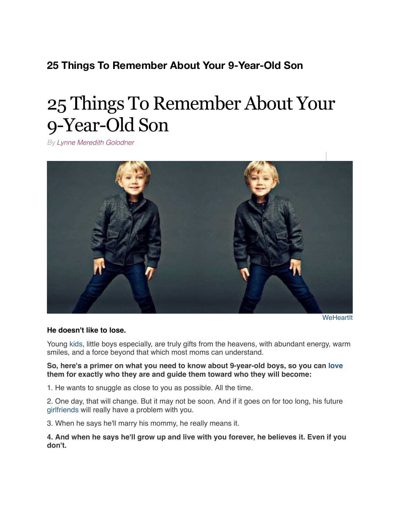## **25 Things To Remember About Your 9-Year-Old Son**

# 25 Things To Remember About Your 9-Year-Old Son

*By [Lynne Meredith Golodner](http://www.yourtango.com/users/lynne-meredith-golodner)*



**[WeHeartIt](http://weheartit.com/entry/141339876/)** 

#### **He doesn't like to lose.**

Young [kids](http://www.yourtango.com/experts/michele-weiner-davis/got-kids-stay-married-its-simple-expert), little boys especially, are truly gifts from the heavens, with abundant energy, warm smiles, and a force beyond that which most moms can understand.

#### **So, here's a primer on what you need to know about 9-year-old boys, so you can [love](http://www.yourtango.com/love) them for exactly who they are and guide them toward who they will become:**

1. He wants to snuggle as close to you as possible. All the time.

2. One day, that will change. But it may not be soon. And if it goes on for too long, his future [girlfriends](http://www.yourtango.com/2013180585/girlfriend-top-10-qualities-men-are-looking-girlfriend) will really have a problem with you.

3. When he says he'll marry his mommy, he really means it.

**4. And when he says he'll grow up and live with you forever, he believes it. Even if you don't.**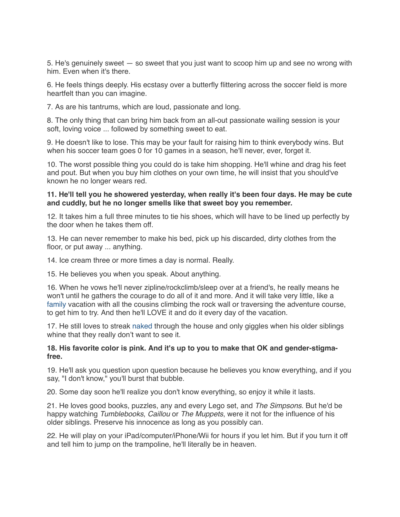5. He's genuinely sweet — so sweet that you just want to scoop him up and see no wrong with him. Even when it's there.

6. He feels things deeply. His ecstasy over a butterfly flittering across the soccer field is more heartfelt than you can imagine.

7. As are his tantrums, which are loud, passionate and long.

8. The only thing that can bring him back from an all-out passionate wailing session is your soft, loving voice ... followed by something sweet to eat.

9. He doesn't like to lose. This may be your fault for raising him to think everybody wins. But when his soccer team goes 0 for 10 games in a season, he'll never, ever, forget it.

10. The worst possible thing you could do is take him shopping. He'll whine and drag his feet and pout. But when you buy him clothes on your own time, he will insist that you should've known he no longer wears red.

#### **11. He'll tell you he showered yesterday, when really it's been four days. He may be cute and cuddly, but he no longer smells like that sweet boy you remember.**

12. It takes him a full three minutes to tie his shoes, which will have to be lined up perfectly by the door when he takes them off.

13. He can never remember to make his bed, pick up his discarded, dirty clothes from the floor, or put away ... anything.

14. Ice cream three or more times a day is normal. Really.

15. He believes you when you speak. About anything.

16. When he vows he'll never zipline/rockclimb/sleep over at a friend's, he really means he won't until he gathers the courage to do all of it and more. And it will take very little, like a [family](http://www.yourtango.com/taxonomy/term/33399) vacation with all the cousins climbing the rock wall or traversing the adventure course, to get him to try. And then he'll LOVE it and do it every day of the vacation.

17. He still loves to streak [naked](http://www.yourtango.com/20086672/what-a-man-sees-when-youre-naked) through the house and only giggles when his older siblings whine that they really don't want to see it.

#### **18. His favorite color is pink. And it's up to you to make that OK and gender-stigmafree.**

19. He'll ask you question upon question because he believes you know everything, and if you say, "I don't know," you'll burst that bubble.

20. Some day soon he'll realize you don't know everything, so enjoy it while it lasts.

21. He loves good books, puzzles, any and every Lego set, and *The Simpsons*. But he'd be happy watching *Tumblebooks*, *Caillou* or *The Muppets*, were it not for the influence of his older siblings. Preserve his innocence as long as you possibly can.

22. He will play on your iPad/computer/iPhone/Wii for hours if you let him. But if you turn it off and tell him to jump on the trampoline, he'll literally be in heaven.